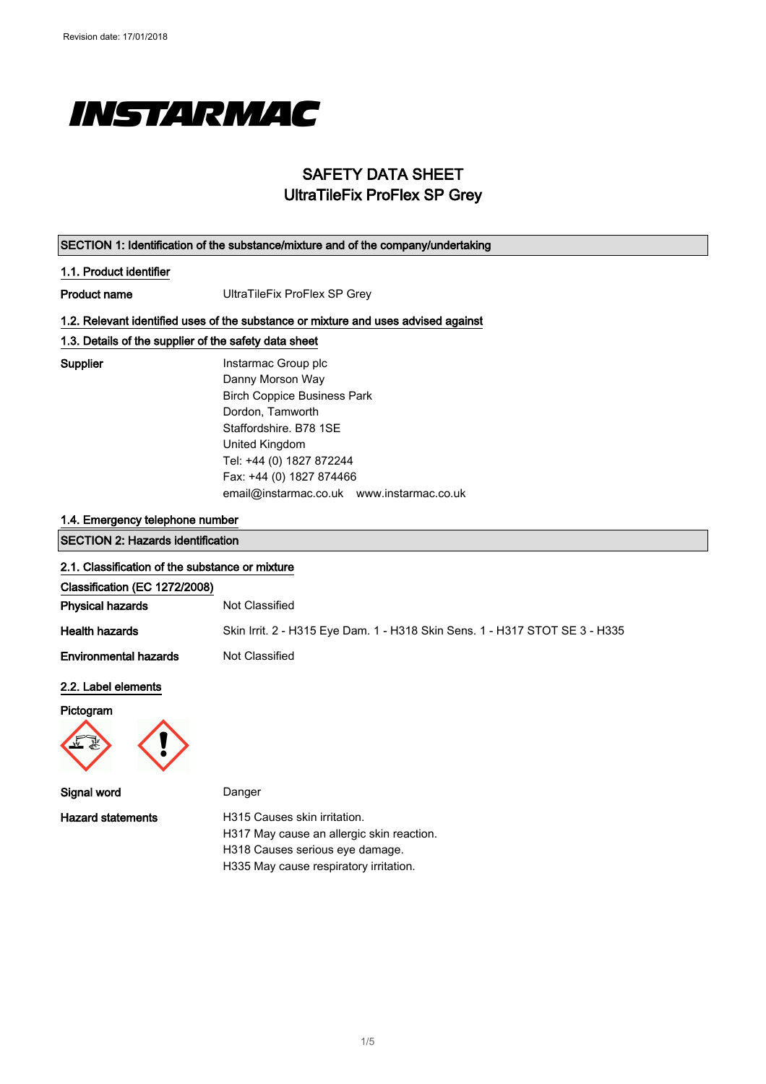

## SAFETY DATA SHEET UltraTileFix ProFlex SP Grey

| SECTION 1: Identification of the substance/mixture and of the company/undertaking |                                                                                    |  |
|-----------------------------------------------------------------------------------|------------------------------------------------------------------------------------|--|
| 1.1. Product identifier                                                           |                                                                                    |  |
| <b>Product name</b>                                                               | UltraTileFix ProFlex SP Grey                                                       |  |
|                                                                                   | 1.2. Relevant identified uses of the substance or mixture and uses advised against |  |
| 1.3. Details of the supplier of the safety data sheet                             |                                                                                    |  |
| <b>Supplier</b>                                                                   | Instarmac Group plc                                                                |  |
|                                                                                   | Danny Morson Way                                                                   |  |
|                                                                                   | <b>Birch Coppice Business Park</b>                                                 |  |
|                                                                                   | Dordon, Tamworth                                                                   |  |
|                                                                                   | Staffordshire, B78 1SE                                                             |  |
|                                                                                   | United Kingdom                                                                     |  |
|                                                                                   | Tel: +44 (0) 1827 872244                                                           |  |
|                                                                                   | Fax: +44 (0) 1827 874466                                                           |  |
|                                                                                   | email@instarmac.co.uk www.instarmac.co.uk                                          |  |
| 1.4. Emergency telephone number                                                   |                                                                                    |  |
| <b>SECTION 2: Hazards identification</b>                                          |                                                                                    |  |
| 2.1. Classification of the substance or mixture                                   |                                                                                    |  |
| Classification (EC 1272/2008)                                                     |                                                                                    |  |
| <b>Physical hazards</b>                                                           | Not Classified                                                                     |  |
| <b>Health hazards</b>                                                             | Skin Irrit. 2 - H315 Eye Dam. 1 - H318 Skin Sens. 1 - H317 STOT SE 3 - H335        |  |
| <b>Environmental hazards</b>                                                      | Not Classified                                                                     |  |
| 2.2. Label elements                                                               |                                                                                    |  |
| Pictogram                                                                         |                                                                                    |  |
|                                                                                   |                                                                                    |  |



Signal word Danger

Hazard statements **H315** Causes skin irritation. H317 May cause an allergic skin reaction. H318 Causes serious eye damage. H335 May cause respiratory irritation.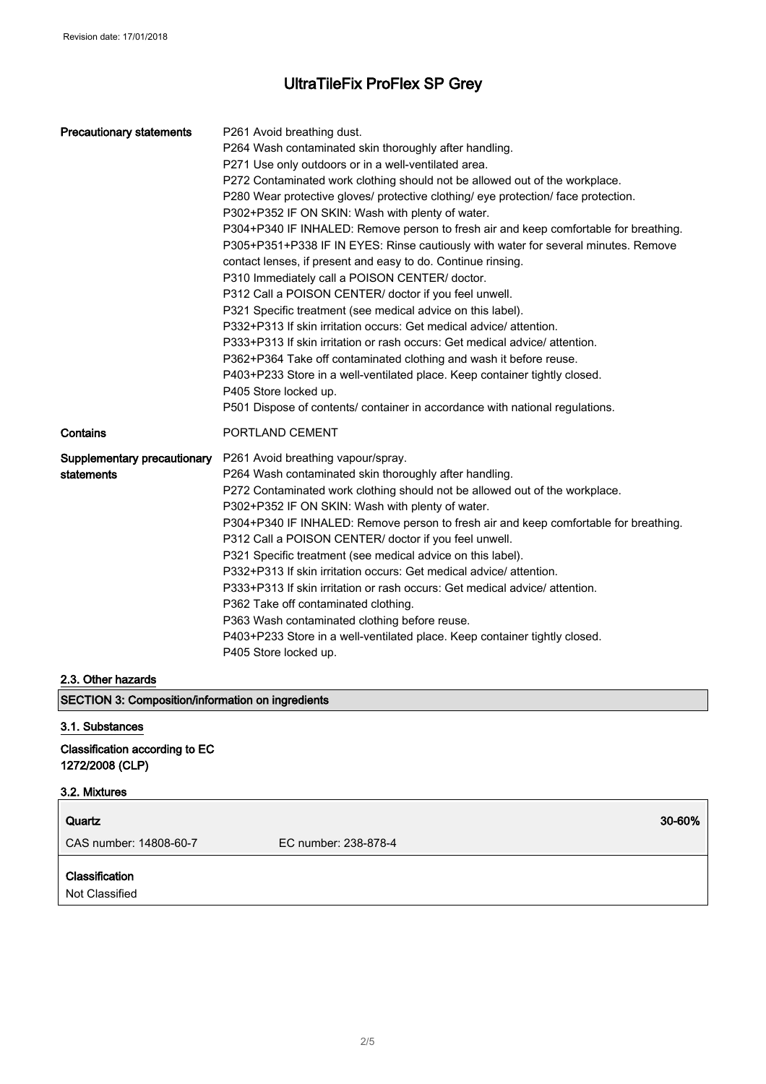| <b>Precautionary statements</b>           | P261 Avoid breathing dust.<br>P264 Wash contaminated skin thoroughly after handling.<br>P271 Use only outdoors or in a well-ventilated area.<br>P272 Contaminated work clothing should not be allowed out of the workplace.<br>P280 Wear protective gloves/ protective clothing/ eye protection/ face protection.<br>P302+P352 IF ON SKIN: Wash with plenty of water.<br>P304+P340 IF INHALED: Remove person to fresh air and keep comfortable for breathing.<br>P305+P351+P338 IF IN EYES: Rinse cautiously with water for several minutes. Remove<br>contact lenses, if present and easy to do. Continue rinsing.<br>P310 Immediately call a POISON CENTER/ doctor.<br>P312 Call a POISON CENTER/ doctor if you feel unwell.<br>P321 Specific treatment (see medical advice on this label).<br>P332+P313 If skin irritation occurs: Get medical advice/attention.<br>P333+P313 If skin irritation or rash occurs: Get medical advice/ attention.<br>P362+P364 Take off contaminated clothing and wash it before reuse.<br>P403+P233 Store in a well-ventilated place. Keep container tightly closed.<br>P405 Store locked up.<br>P501 Dispose of contents/ container in accordance with national regulations. |
|-------------------------------------------|-----------------------------------------------------------------------------------------------------------------------------------------------------------------------------------------------------------------------------------------------------------------------------------------------------------------------------------------------------------------------------------------------------------------------------------------------------------------------------------------------------------------------------------------------------------------------------------------------------------------------------------------------------------------------------------------------------------------------------------------------------------------------------------------------------------------------------------------------------------------------------------------------------------------------------------------------------------------------------------------------------------------------------------------------------------------------------------------------------------------------------------------------------------------------------------------------------------------|
| Contains                                  | PORTLAND CEMENT                                                                                                                                                                                                                                                                                                                                                                                                                                                                                                                                                                                                                                                                                                                                                                                                                                                                                                                                                                                                                                                                                                                                                                                                 |
| Supplementary precautionary<br>statements | P261 Avoid breathing vapour/spray.<br>P264 Wash contaminated skin thoroughly after handling.<br>P272 Contaminated work clothing should not be allowed out of the workplace.<br>P302+P352 IF ON SKIN: Wash with plenty of water.<br>P304+P340 IF INHALED: Remove person to fresh air and keep comfortable for breathing.<br>P312 Call a POISON CENTER/ doctor if you feel unwell.<br>P321 Specific treatment (see medical advice on this label).<br>P332+P313 If skin irritation occurs: Get medical advice/attention.<br>P333+P313 If skin irritation or rash occurs: Get medical advice/ attention.<br>P362 Take off contaminated clothing.<br>P363 Wash contaminated clothing before reuse.<br>P403+P233 Store in a well-ventilated place. Keep container tightly closed.<br>P405 Store locked up.                                                                                                                                                                                                                                                                                                                                                                                                            |

#### 2.3. Other hazards

SECTION 3: Composition/information on ingredients

#### 3.1. Substances

Classification according to EC 1272/2008 (CLP)

# 3.2. Mixtures

| Quartz                           | 30-60%               |
|----------------------------------|----------------------|
| CAS number: 14808-60-7           | EC number: 238-878-4 |
| Classification<br>Not Classified |                      |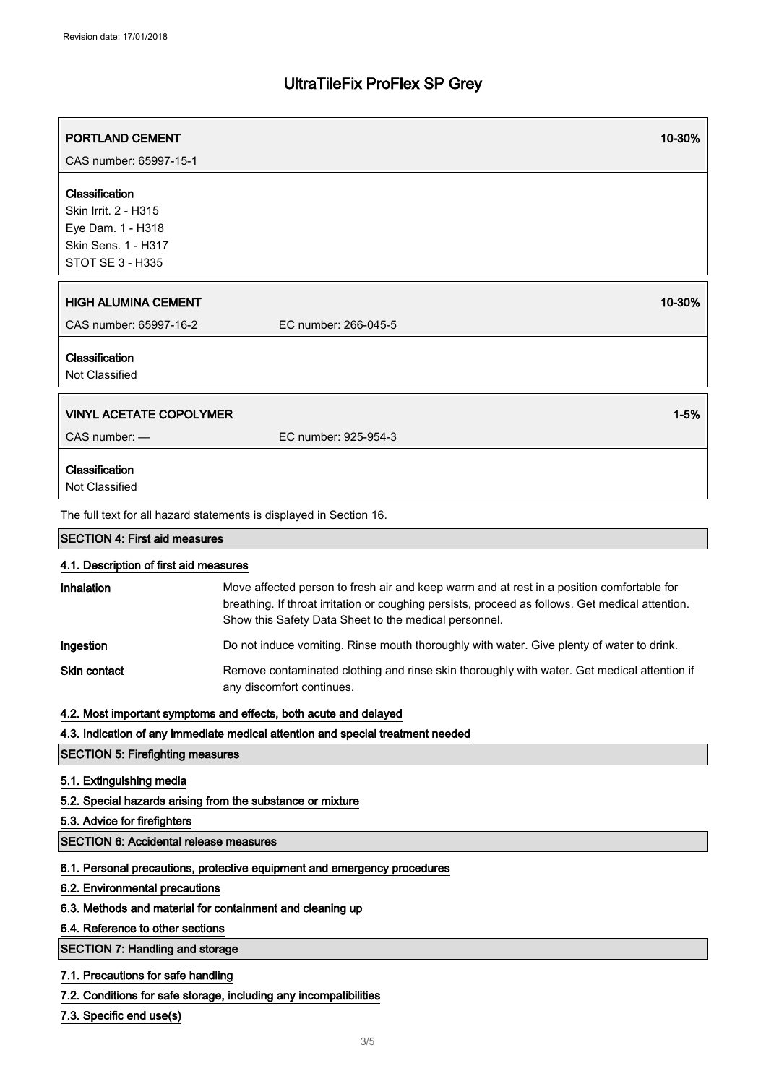| <b>PORTLAND CEMENT</b><br>CAS number: 65997-15-1                                                                                                                                                            |                                                                                                                                                                                                                                                        | 10-30%   |
|-------------------------------------------------------------------------------------------------------------------------------------------------------------------------------------------------------------|--------------------------------------------------------------------------------------------------------------------------------------------------------------------------------------------------------------------------------------------------------|----------|
| Classification<br>Skin Irrit. 2 - H315<br>Eye Dam. 1 - H318<br><b>Skin Sens. 1 - H317</b><br><b>STOT SE 3 - H335</b>                                                                                        |                                                                                                                                                                                                                                                        |          |
| <b>HIGH ALUMINA CEMENT</b><br>CAS number: 65997-16-2                                                                                                                                                        | EC number: 266-045-5                                                                                                                                                                                                                                   | 10-30%   |
| Classification<br>Not Classified                                                                                                                                                                            |                                                                                                                                                                                                                                                        |          |
| <b>VINYL ACETATE COPOLYMER</b>                                                                                                                                                                              |                                                                                                                                                                                                                                                        | $1 - 5%$ |
| CAS number: -                                                                                                                                                                                               | EC number: 925-954-3                                                                                                                                                                                                                                   |          |
| Classification<br>Not Classified                                                                                                                                                                            |                                                                                                                                                                                                                                                        |          |
|                                                                                                                                                                                                             | The full text for all hazard statements is displayed in Section 16.                                                                                                                                                                                    |          |
| <b>SECTION 4: First aid measures</b>                                                                                                                                                                        |                                                                                                                                                                                                                                                        |          |
| 4.1. Description of first aid measures                                                                                                                                                                      |                                                                                                                                                                                                                                                        |          |
| Inhalation                                                                                                                                                                                                  | Move affected person to fresh air and keep warm and at rest in a position comfortable for<br>breathing. If throat irritation or coughing persists, proceed as follows. Get medical attention.<br>Show this Safety Data Sheet to the medical personnel. |          |
| Ingestion                                                                                                                                                                                                   | Do not induce vomiting. Rinse mouth thoroughly with water. Give plenty of water to drink.                                                                                                                                                              |          |
| Skin contact                                                                                                                                                                                                | Remove contaminated clothing and rinse skin thoroughly with water. Get medical attention if<br>any discomfort continues.                                                                                                                               |          |
|                                                                                                                                                                                                             | 4.2. Most important symptoms and effects, both acute and delayed                                                                                                                                                                                       |          |
|                                                                                                                                                                                                             | 4.3. Indication of any immediate medical attention and special treatment needed                                                                                                                                                                        |          |
| <b>SECTION 5: Firefighting measures</b>                                                                                                                                                                     |                                                                                                                                                                                                                                                        |          |
| 5.1. Extinguishing media<br>5.2. Special hazards arising from the substance or mixture<br>5.3. Advice for firefighters                                                                                      |                                                                                                                                                                                                                                                        |          |
| <b>SECTION 6: Accidental release measures</b>                                                                                                                                                               |                                                                                                                                                                                                                                                        |          |
| 6.1. Personal precautions, protective equipment and emergency procedures<br>6.2. Environmental precautions<br>6.3. Methods and material for containment and cleaning up<br>6.4. Reference to other sections |                                                                                                                                                                                                                                                        |          |
| <b>SECTION 7: Handling and storage</b>                                                                                                                                                                      |                                                                                                                                                                                                                                                        |          |
| 7.1. Precautions for safe handling<br>7.2. Conditions for safe storage, including any incompatibilities<br>7.3. Specific end use(s)                                                                         |                                                                                                                                                                                                                                                        |          |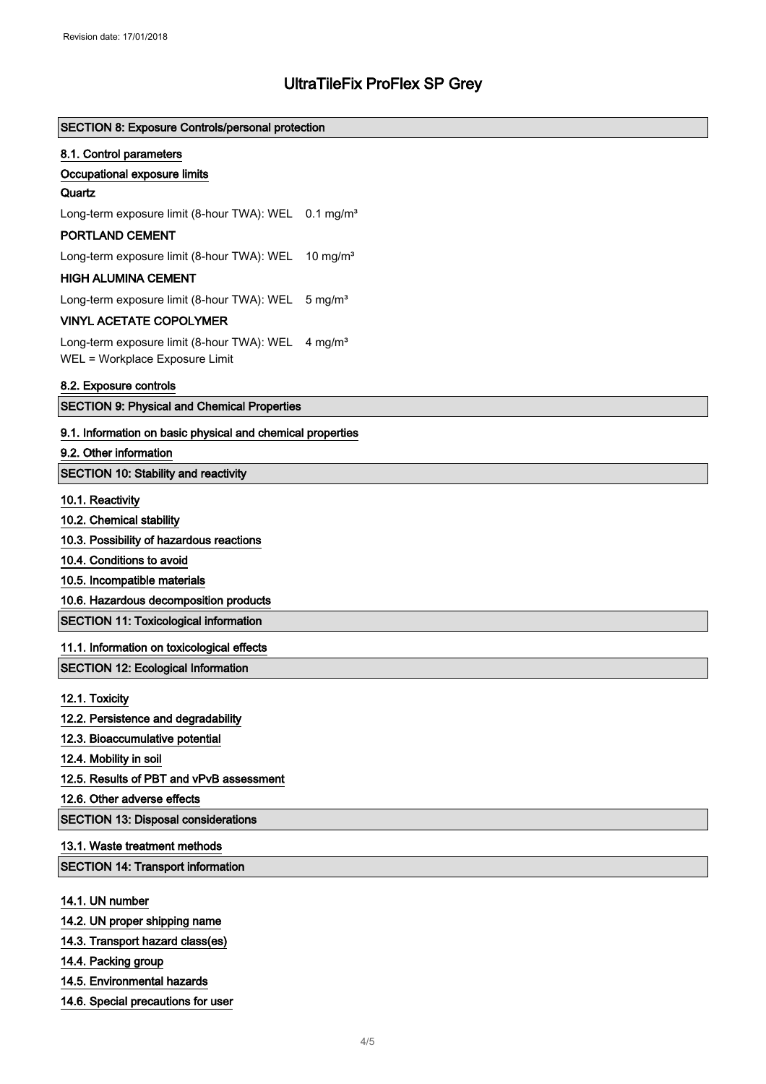| <b>SECTION 8: Exposure Controls/personal protection</b>               |  |  |  |
|-----------------------------------------------------------------------|--|--|--|
| 8.1. Control parameters                                               |  |  |  |
| Occupational exposure limits                                          |  |  |  |
| Quartz                                                                |  |  |  |
| Long-term exposure limit (8-hour TWA): WEL<br>$0.1 \,\mathrm{mg/m^3}$ |  |  |  |
| PORTLAND CEMENT                                                       |  |  |  |
| Long-term exposure limit (8-hour TWA): WEL<br>10 mg/m <sup>3</sup>    |  |  |  |
| <b>HIGH ALUMINA CEMENT</b>                                            |  |  |  |
| Long-term exposure limit (8-hour TWA): WEL<br>$5 \text{ mg/m}^3$      |  |  |  |
| <b>VINYL ACETATE COPOLYMER</b>                                        |  |  |  |
| Long-term exposure limit (8-hour TWA): WEL<br>4 mg/m <sup>3</sup>     |  |  |  |
| WEL = Workplace Exposure Limit                                        |  |  |  |
| 8.2. Exposure controls                                                |  |  |  |
| <b>SECTION 9: Physical and Chemical Properties</b>                    |  |  |  |
| 9.1. Information on basic physical and chemical properties            |  |  |  |
| 9.2. Other information                                                |  |  |  |
| <b>SECTION 10: Stability and reactivity</b>                           |  |  |  |
| 10.1. Reactivity                                                      |  |  |  |
| 10.2. Chemical stability                                              |  |  |  |
| 10.3. Possibility of hazardous reactions                              |  |  |  |
| 10.4. Conditions to avoid                                             |  |  |  |
| 10.5. Incompatible materials                                          |  |  |  |
| 10.6. Hazardous decomposition products                                |  |  |  |
| <b>SECTION 11: Toxicological information</b>                          |  |  |  |
| 11.1. Information on toxicological effects                            |  |  |  |
| <b>SECTION 12: Ecological Information</b>                             |  |  |  |
|                                                                       |  |  |  |
| 12.1. Toxicity                                                        |  |  |  |
| 12.2. Persistence and degradability                                   |  |  |  |
| 12.3. Bioaccumulative potential                                       |  |  |  |
| 12.4. Mobility in soil                                                |  |  |  |
| 12.5. Results of PBT and vPvB assessment                              |  |  |  |
| 12.6. Other adverse effects                                           |  |  |  |
| <b>SECTION 13: Disposal considerations</b>                            |  |  |  |
| 13.1. Waste treatment methods                                         |  |  |  |
| <b>SECTION 14: Transport information</b>                              |  |  |  |
| 14.1. UN number                                                       |  |  |  |
| 14.2. UN proper shipping name                                         |  |  |  |
| 14.3. Transport hazard class(es)                                      |  |  |  |
| 14.4. Packing group                                                   |  |  |  |
|                                                                       |  |  |  |

- 14.5. Environmental hazards
- 14.6. Special precautions for user